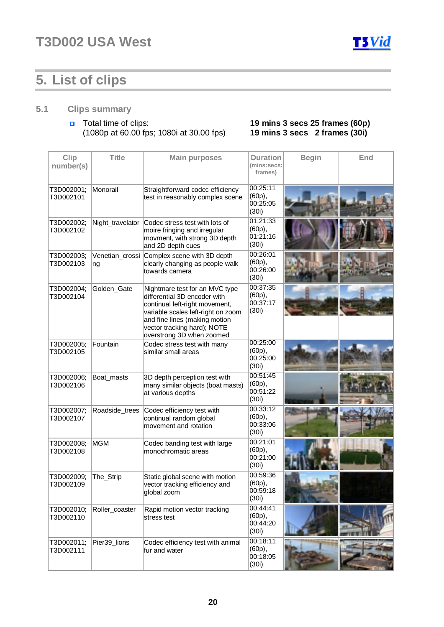

## **5. List of clips**

### **5.1 Clips summary**

### Total time of clips: **19 mins 3 secs 25 frames (60p)**  (1080p at 60.00 fps; 1080i at 30.00 fps) **19 mins 3 secs 2 frames (30i)**

| Clip<br>number(s)       | <b>Title</b>          | <b>Main purposes</b>                                                                                                                                                                                                                | <b>Duration</b><br>(mins:secs:<br>frames)  | <b>Begin</b> | End |
|-------------------------|-----------------------|-------------------------------------------------------------------------------------------------------------------------------------------------------------------------------------------------------------------------------------|--------------------------------------------|--------------|-----|
| T3D002001;<br>T3D002101 | Monorail              | Straightforward codec efficiency<br>test in reasonably complex scene                                                                                                                                                                | 00:25:11<br>(60p),<br>00:25:05<br>(30i)    |              |     |
| T3D002002;<br>T3D002102 | Night_travelator      | Codec stress test with lots of<br>moire fringing and irregular<br>movment, with strong 3D depth<br>and 2D depth cues                                                                                                                | 01:21:33<br>(60p),<br>01:21:16<br>(30i)    |              |     |
| T3D002003;<br>T3D002103 | Venetian_crossi<br>ng | Complex scene with 3D depth<br>clearly changing as people walk<br>towards camera                                                                                                                                                    | 00:26:01<br>(60p),<br>00:26:00<br>(30i)    |              |     |
| T3D002004;<br>T3D002104 | Golden_Gate           | Nightmare test for an MVC type<br>differential 3D encoder with<br>continual left-right movement,<br>variable scales left-right on zoom<br>and fine lines (making motion<br>vector tracking hard); NOTE<br>overstrong 3D when zoomed | 00:37:35<br>(60p),<br>00:37:17<br>(30i)    |              |     |
| T3D002005;<br>T3D002105 | Fountain              | Codec stress test with many<br>similar small areas                                                                                                                                                                                  | 00:25:00<br>(60p),<br>00:25:00<br>(30i)    |              |     |
| T3D002006;<br>T3D002106 | Boat_masts            | 3D depth perception test with<br>many similar objects (boat masts)<br>at various depths                                                                                                                                             | 00:51:45<br>(60p),<br>00:51:22<br>(30i)    |              |     |
| T3D002007;<br>T3D002107 | Roadside_trees        | Codec efficiency test with<br>continual random global<br>movement and rotation                                                                                                                                                      | 00:33:12<br>(60p),<br>00:33:06<br>(30i)    |              |     |
| T3D002008;<br>T3D002108 | <b>MGM</b>            | Codec banding test with large<br>monochromatic areas                                                                                                                                                                                | 00:21:01<br>(60p),<br>00:21:00<br>(30i)    |              |     |
| T3D002009;<br>T3D002109 | The_Strip             | Static global scene with motion<br>vector tracking efficiency and<br>global zoom                                                                                                                                                    | 00:59:36<br>(60p),<br>00:59:18<br>(30i)    |              |     |
| T3D002010;<br>T3D002110 | Roller_coaster        | Rapid motion vector tracking<br>stress test                                                                                                                                                                                         | 00:44:41<br>(60p),<br>00:44:20<br>(30i)    |              |     |
| T3D002011;<br>T3D002111 | Pier39_lions          | Codec efficiency test with animal<br>fur and water                                                                                                                                                                                  | 00:18:11<br>$(60p)$ ,<br>00:18:05<br>(30i) |              |     |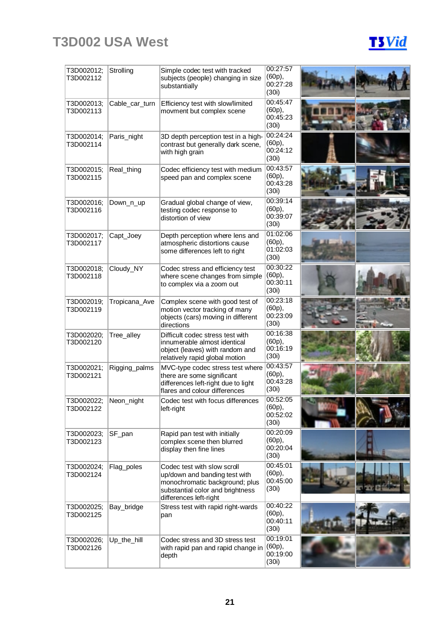## **T3D002 USA West**

| T3D002012;<br>T3D002112 | Strolling      | Simple codec test with tracked<br>subjects (people) changing in size<br>substantially                                                                        | 00:27:57<br>(60p),<br>00:27:28<br>(30i) |  |
|-------------------------|----------------|--------------------------------------------------------------------------------------------------------------------------------------------------------------|-----------------------------------------|--|
| T3D002013;<br>T3D002113 | Cable car turn | Efficiency test with slow/limited<br>movment but complex scene                                                                                               | 00:45:47<br>(60p),<br>00:45:23<br>(30i) |  |
| T3D002014;<br>T3D002114 | Paris_night    | 3D depth perception test in a high-<br>contrast but generally dark scene,<br>with high grain                                                                 | 00:24:24<br>(60p),<br>00:24:12<br>(30i) |  |
| T3D002015;<br>T3D002115 | Real_thing     | Codec efficiency test with medium<br>speed pan and complex scene                                                                                             | 00:43:57<br>(60p),<br>00:43:28<br>(30i) |  |
| T3D002016;<br>T3D002116 | Down_n_up      | Gradual global change of view,<br>testing codec response to<br>distortion of view                                                                            | 00:39:14<br>(60p),<br>00:39:07<br>(30i) |  |
| T3D002017;<br>T3D002117 | Capt_Joey      | Depth perception where lens and<br>atmospheric distortions cause<br>some differences left to right                                                           | 01:02:06<br>(60p),<br>01:02:03<br>(30i) |  |
| T3D002018;<br>T3D002118 | Cloudy_NY      | Codec stress and efficiency test<br>where scene changes from simple<br>to complex via a zoom out                                                             | 00:30:22<br>(60p),<br>00:30:11<br>(30i) |  |
| T3D002019;<br>T3D002119 | Tropicana_Ave  | Complex scene with good test of<br>motion vector tracking of many<br>objects (cars) moving in different<br>directions                                        | 00:23:18<br>(60p),<br>00:23:09<br>(30i) |  |
| T3D002020;<br>T3D002120 | Tree_alley     | Difficult codec stress test with<br>innumerable almost identical<br>object (leaves) with random and<br>relatively rapid global motion                        | 00:16:38<br>(60p),<br>00:16:19<br>(30i) |  |
| T3D002021;<br>T3D002121 | Rigging_palms  | MVC-type codec stress test where<br>there are some significant<br>differences left-right due to light<br>flares and colour differences                       | 00:43:57<br>(60p),<br>00:43:28<br>(30i) |  |
| T3D002022:<br>T3D002122 | Neon_night     | Codec test with focus differences<br>left-right                                                                                                              | 00:52:05<br>(60p),<br>00:52:02<br>(30i) |  |
| T3D002023;<br>T3D002123 | SF_pan         | Rapid pan test with initially<br>complex scene then blurred<br>display then fine lines                                                                       | 00:20:09<br>(60p),<br>00:20:04<br>(30i) |  |
| T3D002024;<br>T3D002124 | Flag_poles     | Codec test with slow scroll<br>up/down and banding test with<br>monochromatic background; plus<br>substantial color and brightness<br>differences left-right | 00:45:01<br>(60p),<br>00:45:00<br>(30i) |  |
| T3D002025;<br>T3D002125 | Bay_bridge     | Stress test with rapid right-wards<br>pan                                                                                                                    | 00:40:22<br>(60p),<br>00:40:11<br>(30i) |  |
| T3D002026;<br>T3D002126 | Up_the_hill    | Codec stress and 3D stress test<br>with rapid pan and rapid change in<br>depth                                                                               | 00:19:01<br>(60p),<br>00:19:00<br>(30i) |  |

**T3Vid**